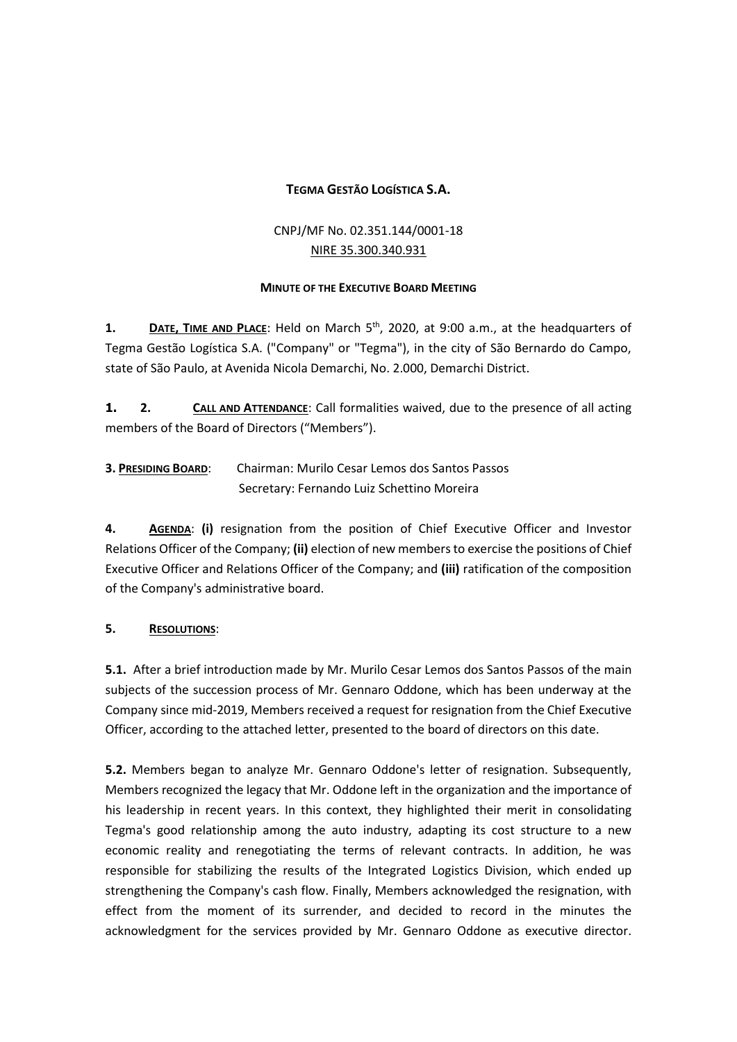### **TEGMA GESTÃO LOGÍSTICA S.A.**

## CNPJ/MF No. 02.351.144/0001-18 NIRE 35.300.340.931

#### **MINUTE OF THE EXECUTIVE BOARD MEETING**

**1. DATE, TIME AND PLACE**: Held on March 5<sup>th</sup>, 2020, at 9:00 a.m., at the headquarters of Tegma Gestão Logística S.A. ("Company" or "Tegma"), in the city of São Bernardo do Campo, state of São Paulo, at Avenida Nicola Demarchi, No. 2.000, Demarchi District.

**1. 2. CALL AND ATTENDANCE**: Call formalities waived, due to the presence of all acting members of the Board of Directors ("Members").

**3. PRESIDING BOARD**: Chairman: Murilo Cesar Lemos dos Santos Passos Secretary: Fernando Luiz Schettino Moreira

**4. AGENDA**: **(i)** resignation from the position of Chief Executive Officer and Investor Relations Officer of the Company; **(ii)** election of new members to exercise the positions of Chief Executive Officer and Relations Officer of the Company; and **(iii)** ratification of the composition of the Company's administrative board.

#### **5. RESOLUTIONS**:

**5.1.** After a brief introduction made by Mr. Murilo Cesar Lemos dos Santos Passos of the main subjects of the succession process of Mr. Gennaro Oddone, which has been underway at the Company since mid-2019, Members received a request for resignation from the Chief Executive Officer, according to the attached letter, presented to the board of directors on this date.

**5.2.** Members began to analyze Mr. Gennaro Oddone's letter of resignation. Subsequently, Members recognized the legacy that Mr. Oddone left in the organization and the importance of his leadership in recent years. In this context, they highlighted their merit in consolidating Tegma's good relationship among the auto industry, adapting its cost structure to a new economic reality and renegotiating the terms of relevant contracts. In addition, he was responsible for stabilizing the results of the Integrated Logistics Division, which ended up strengthening the Company's cash flow. Finally, Members acknowledged the resignation, with effect from the moment of its surrender, and decided to record in the minutes the acknowledgment for the services provided by Mr. Gennaro Oddone as executive director.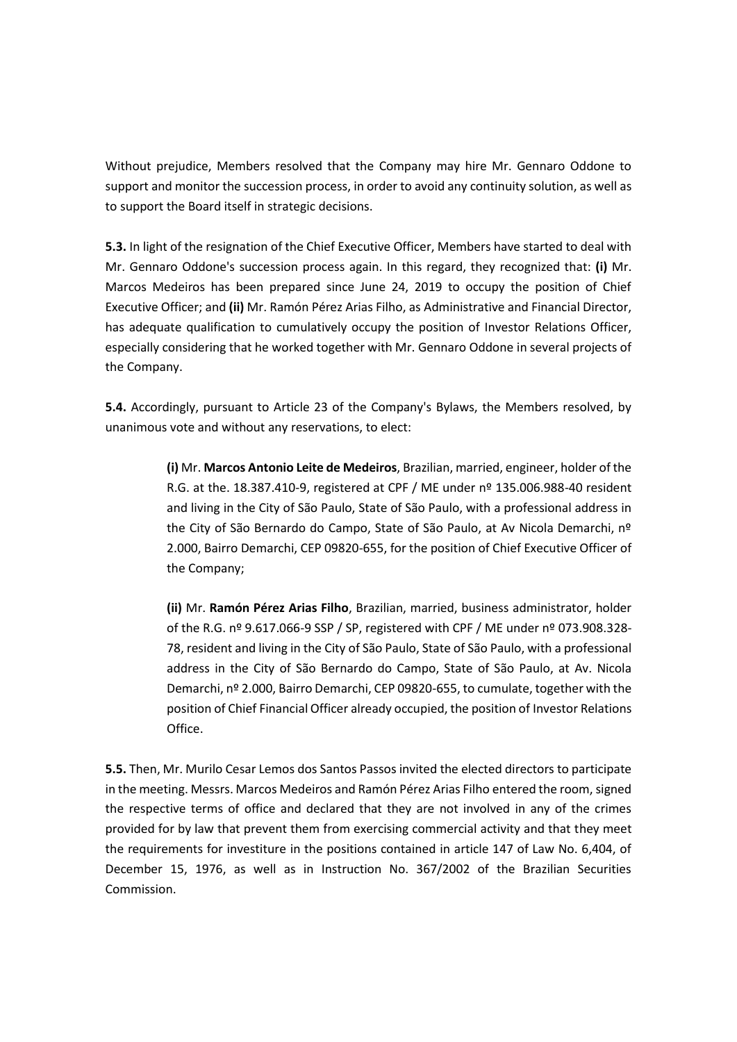Without prejudice, Members resolved that the Company may hire Mr. Gennaro Oddone to support and monitor the succession process, in order to avoid any continuity solution, as well as to support the Board itself in strategic decisions.

**5.3.** In light of the resignation of the Chief Executive Officer, Members have started to deal with Mr. Gennaro Oddone's succession process again. In this regard, they recognized that: **(i)** Mr. Marcos Medeiros has been prepared since June 24, 2019 to occupy the position of Chief Executive Officer; and **(ii)** Mr. Ramón Pérez Arias Filho, as Administrative and Financial Director, has adequate qualification to cumulatively occupy the position of Investor Relations Officer, especially considering that he worked together with Mr. Gennaro Oddone in several projects of the Company.

**5.4.** Accordingly, pursuant to Article 23 of the Company's Bylaws, the Members resolved, by unanimous vote and without any reservations, to elect:

> **(i)** Mr. **Marcos Antonio Leite de Medeiros**, Brazilian, married, engineer, holder of the R.G. at the. 18.387.410-9, registered at CPF / ME under nº 135.006.988-40 resident and living in the City of São Paulo, State of São Paulo, with a professional address in the City of São Bernardo do Campo, State of São Paulo, at Av Nicola Demarchi, nº 2.000, Bairro Demarchi, CEP 09820-655, for the position of Chief Executive Officer of the Company;

> **(ii)** Mr. **Ramón Pérez Arias Filho**, Brazilian, married, business administrator, holder of the R.G. nº 9.617.066-9 SSP / SP, registered with CPF / ME under nº 073.908.328- 78, resident and living in the City of São Paulo, State of São Paulo, with a professional address in the City of São Bernardo do Campo, State of São Paulo, at Av. Nicola Demarchi, nº 2.000, Bairro Demarchi, CEP 09820-655, to cumulate, together with the position of Chief Financial Officer already occupied, the position of Investor Relations Office.

**5.5.** Then, Mr. Murilo Cesar Lemos dos Santos Passos invited the elected directors to participate in the meeting. Messrs. Marcos Medeiros and Ramón Pérez Arias Filho entered the room, signed the respective terms of office and declared that they are not involved in any of the crimes provided for by law that prevent them from exercising commercial activity and that they meet the requirements for investiture in the positions contained in article 147 of Law No. 6,404, of December 15, 1976, as well as in Instruction No. 367/2002 of the Brazilian Securities Commission.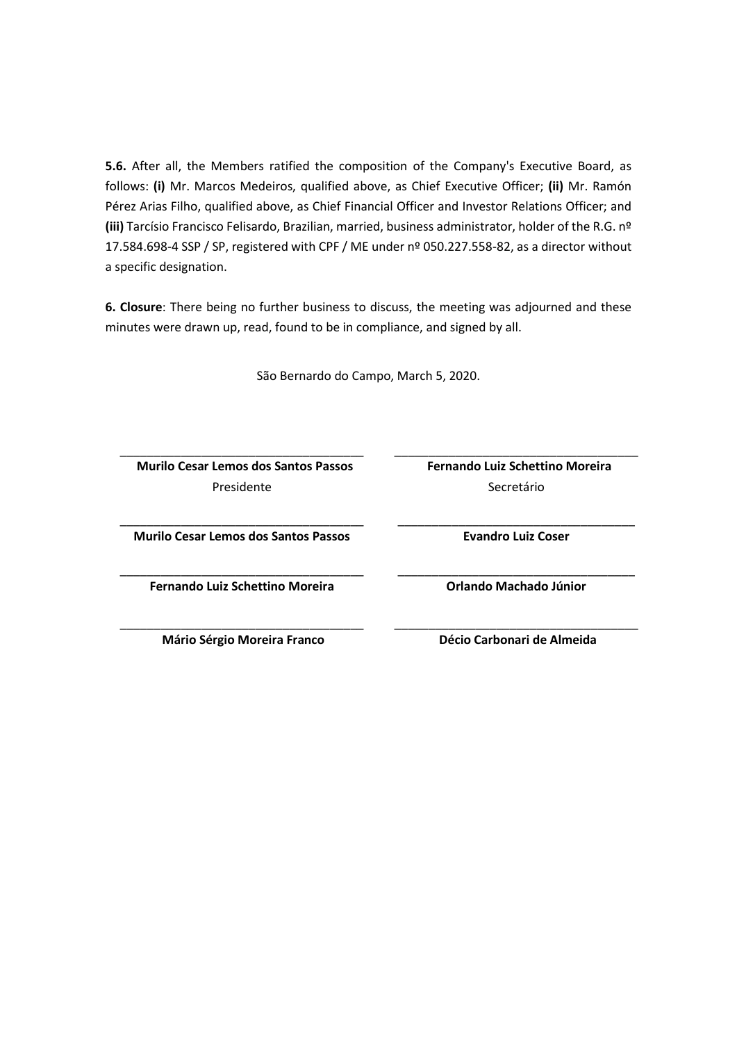**5.6.** After all, the Members ratified the composition of the Company's Executive Board, as follows: **(i)** Mr. Marcos Medeiros, qualified above, as Chief Executive Officer; **(ii)** Mr. Ramón Pérez Arias Filho, qualified above, as Chief Financial Officer and Investor Relations Officer; and **(iii)** Tarcísio Francisco Felisardo, Brazilian, married, business administrator, holder of the R.G. nº 17.584.698-4 SSP / SP, registered with CPF / ME under nº 050.227.558-82, as a director without a specific designation.

**6. Closure**: There being no further business to discuss, the meeting was adjourned and these minutes were drawn up, read, found to be in compliance, and signed by all.

São Bernardo do Campo, March 5, 2020.

 **Murilo Cesar Lemos dos Santos Passos** Presidente

Secretário

\_\_\_\_\_\_\_\_\_\_\_\_\_\_\_\_\_\_\_\_\_\_\_\_\_\_\_\_\_\_\_\_\_\_\_ **Evandro Luiz Coser**

\_\_\_\_\_\_\_\_\_\_\_\_\_\_\_\_\_\_\_\_\_\_\_\_\_\_\_\_\_\_\_\_\_\_\_ **Orlando Machado Júnior**

\_\_\_\_\_\_\_\_\_\_\_\_\_\_\_\_\_\_\_\_\_\_\_\_\_\_\_\_\_\_\_\_\_\_\_\_ **Fernando Luiz Schettino Moreira**

\_\_\_\_\_\_\_\_\_\_\_\_\_\_\_\_\_\_\_\_\_\_\_\_\_\_\_\_\_\_\_\_\_\_\_\_ **Murilo Cesar Lemos dos Santos Passos**

\_\_\_\_\_\_\_\_\_\_\_\_\_\_\_\_\_\_\_\_\_\_\_\_\_\_\_\_\_\_\_\_\_\_\_\_

\_\_\_\_\_\_\_\_\_\_\_\_\_\_\_\_\_\_\_\_\_\_\_\_\_\_\_\_\_\_\_\_\_\_\_\_ **Fernando Luiz Schettino Moreira**

\_\_\_\_\_\_\_\_\_\_\_\_\_\_\_\_\_\_\_\_\_\_\_\_\_\_\_\_\_\_\_\_\_\_\_\_

\_\_\_\_\_\_\_\_\_\_\_\_\_\_\_\_\_\_\_\_\_\_\_\_\_\_\_\_\_\_\_\_\_\_\_\_ **Mário Sérgio Moreira Franco**

**Décio Carbonari de Almeida**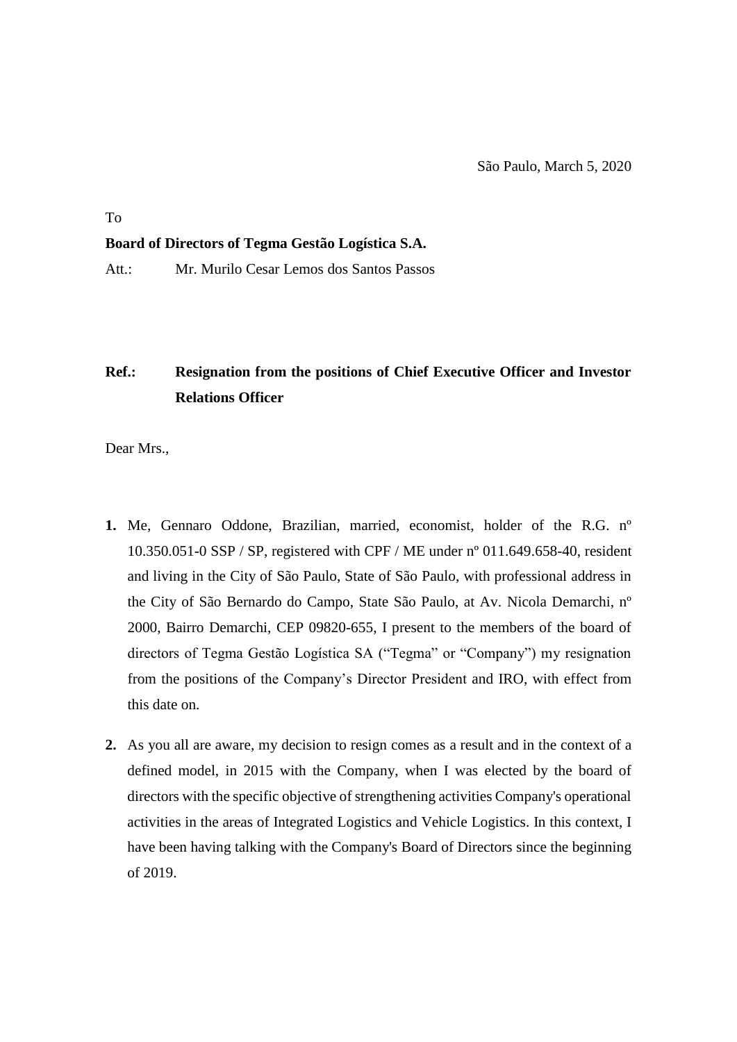To

#### **Board of Directors of Tegma Gestão Logística S.A.**

Att.: Mr. Murilo Cesar Lemos dos Santos Passos

# **Ref.: Resignation from the positions of Chief Executive Officer and Investor Relations Officer**

Dear Mrs.,

- **1.** Me, Gennaro Oddone, Brazilian, married, economist, holder of the R.G. nº 10.350.051-0 SSP / SP, registered with CPF / ME under nº 011.649.658-40, resident and living in the City of São Paulo, State of São Paulo, with professional address in the City of São Bernardo do Campo, State São Paulo, at Av. Nicola Demarchi, nº 2000, Bairro Demarchi, CEP 09820-655, I present to the members of the board of directors of Tegma Gestão Logística SA ("Tegma" or "Company") my resignation from the positions of the Company's Director President and IRO, with effect from this date on.
- **2.** As you all are aware, my decision to resign comes as a result and in the context of a defined model, in 2015 with the Company, when I was elected by the board of directors with the specific objective of strengthening activities Company's operational activities in the areas of Integrated Logistics and Vehicle Logistics. In this context, I have been having talking with the Company's Board of Directors since the beginning of 2019.